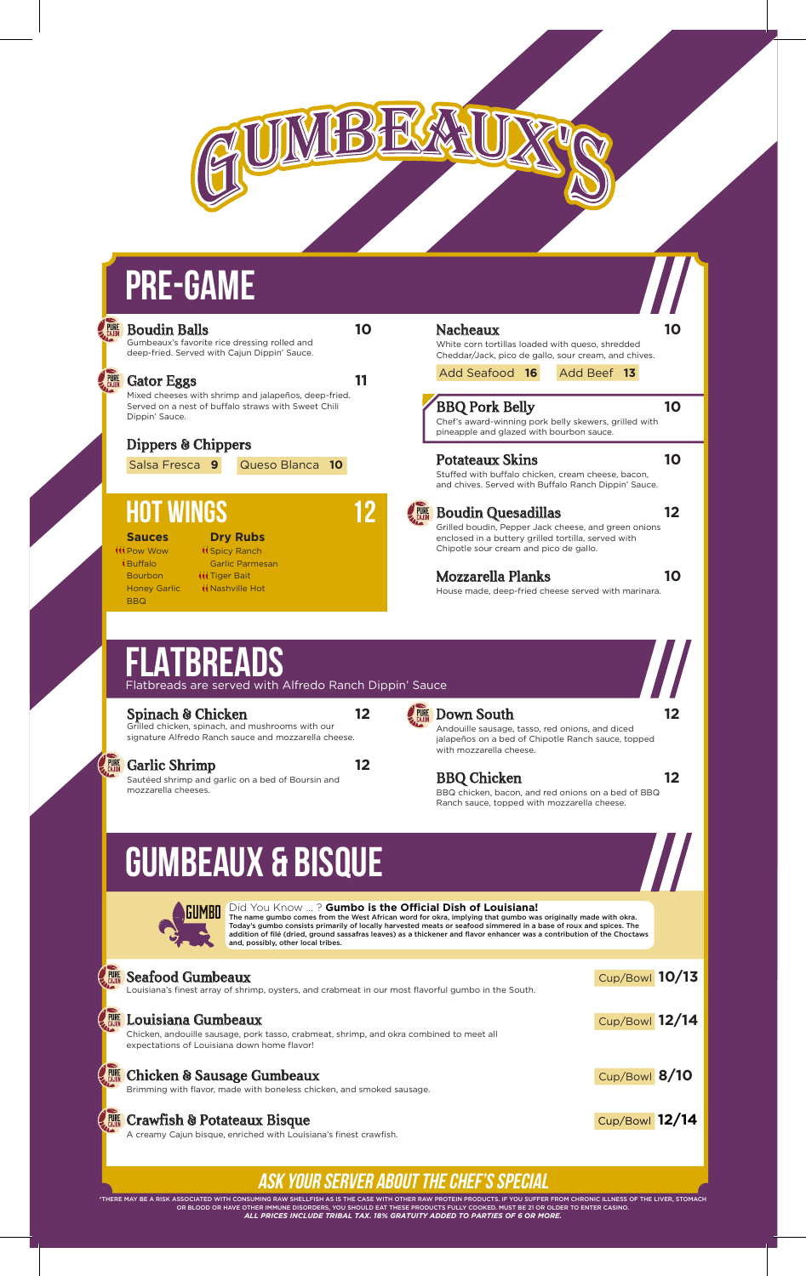

| <b>Boudin Balls</b><br>Gumbeaux's favorite rice dressing rolled and<br>deep-fried. Served with Cajun Dippin' Sauce.                                          | 10 | <b>Nacheaux</b><br>White corn tortillas loaded with queso, shredded<br>Cheddar/Jack, pico de gallo, sour cream, and chives.                                                                                                                                                                                                                                  | 10 |
|--------------------------------------------------------------------------------------------------------------------------------------------------------------|----|--------------------------------------------------------------------------------------------------------------------------------------------------------------------------------------------------------------------------------------------------------------------------------------------------------------------------------------------------------------|----|
| <b>Gator Eggs</b>                                                                                                                                            | 11 | Add Seafood 16<br>Add Beef 13                                                                                                                                                                                                                                                                                                                                |    |
| Mixed cheeses with shrimp and jalapeños, deep-fried.<br>Served on a nest of buffalo straws with Sweet Chili<br>Dippin' Sauce.                                |    | <b>BBQ Pork Belly</b><br>Chef's award-winning pork belly skewers, grilled with<br>pineapple and glazed with bourbon sauce.                                                                                                                                                                                                                                   | 10 |
| Dippers & Chippers                                                                                                                                           |    |                                                                                                                                                                                                                                                                                                                                                              |    |
| Queso Blanca 10<br>Salsa Fresca 9                                                                                                                            |    | <b>Potateaux Skins</b><br>Stuffed with buffalo chicken, cream cheese, bacon,<br>and chives. Served with Buffalo Ranch Dippin' Sauce.                                                                                                                                                                                                                         | 10 |
| <b>HOT WINGS</b><br><b>Dry Rubs</b><br><b>Sauces</b><br><b><i>III Pow Wow</i></b><br><b><i><u>ispicy</u></i></b> Ranch                                       |    | <b>Boudin Quesadillas</b><br>Grilled boudin, Pepper Jack cheese, and green onions<br>enclosed in a buttery grilled tortilla, served with<br>Chipotle sour cream and pico de gallo.                                                                                                                                                                           | 12 |
| $\mathfrak{t}$ Buffalo<br><b>Garlic Parmesan</b><br><b>Bourbon</b><br><b>ttt Tiger Bait</b><br><b><i>KNashville Hot</i></b><br><b>Honey Garlic</b>           |    | <b>Mozzarella Planks</b><br>House made, deep-fried cheese served with marinara.                                                                                                                                                                                                                                                                              | 10 |
| <b>BBQ</b><br><b>FLATBREADS</b><br>Flatbreads are served with Alfredo Ranch Dippin' Sauce<br>Spinach & Chicken                                               | 12 | <b>Down South</b>                                                                                                                                                                                                                                                                                                                                            |    |
| Grilled chicken, spinach, and mushrooms with our<br>signature Alfredo Ranch sauce and mozzarella cheese.                                                     |    | Andouille sausage, tasso, red onions, and diced<br>jalapeños on a bed of Chipotle Ranch sauce, topped                                                                                                                                                                                                                                                        |    |
| <b>Garlic Shrimp</b>                                                                                                                                         | 12 | with mozzarella cheese.                                                                                                                                                                                                                                                                                                                                      |    |
| Sautéed shrimp and garlic on a bed of Boursin and<br>mozzarella cheeses.                                                                                     |    | <b>BBQ Chicken</b><br>BBQ chicken, bacon, and red onions on a bed of BBQ<br>Ranch sauce, topped with mozzarella cheese.                                                                                                                                                                                                                                      |    |
| <b>GUMBEAUX &amp; BISQUE</b>                                                                                                                                 |    |                                                                                                                                                                                                                                                                                                                                                              |    |
| Did You Know ? Gumbo is the Official Dish of Louisiana!<br>and, possibly, other local tribes.                                                                |    | The name gumbo comes from the West African word for okra, implying that gumbo was originally made with okra.<br>Today's gumbo consists primarily of locally harvested meats or seafood simmered in a base of roux and spices. The<br>addition of filé (dried, ground sassafras leaves) as a thickener and flavor enhancer was a contribution of the Choctaws |    |
| <b>Seafood Gumbeaux</b><br>Louisiana's finest array of shrimp, oysters, and crabmeat in our most flavorful gumbo in the South.                               |    | Cup/Bowl 10/13                                                                                                                                                                                                                                                                                                                                               |    |
| Louisiana Gumbeaux<br>Chicken, andouille sausage, pork tasso, crabmeat, shrimp, and okra combined to meet all<br>expectations of Louisiana down home flavor! |    | Cup/Bowl 12/14                                                                                                                                                                                                                                                                                                                                               |    |
| <b>Chicken &amp; Sausage Gumbeaux</b><br>Brimming with flavor, made with boneless chicken, and smoked sausage.                                               |    | Cup/Bowl 8/10                                                                                                                                                                                                                                                                                                                                                |    |
| <b>ELE</b> Crawfish & Potateaux Bisque<br>A creamy Cajun bisque, enriched with Louisiana's finest crawfish.                                                  |    | Cup/Bowl 12/14                                                                                                                                                                                                                                                                                                                                               |    |

IMBEAT

**ASSESS** 

## **ASK YOUR SERVER ABOUT THE CHEF'S SPECIAL**

THERE MAY BE A RISK ASSOCIATED WITH CONSUMING RAW SHELLFISH AS IS THE CASE WITH OTHER RAW PROTEIN PRODUCTS. IF YOU SUFFER FROM CHRONIC ILLNESS OF THE LIVER, STOMACH<br>OR BLOOD OR HAVE OTHER IMMUNE DISORDERS, YOU SHOW AND THE